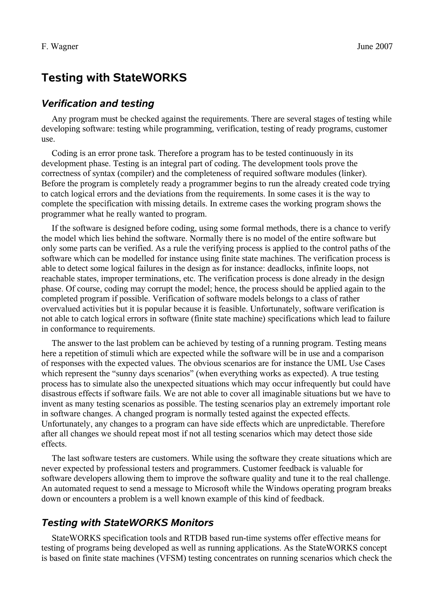# **Testing with StateWORKS**

### *Verification and testing*

Any program must be checked against the requirements. There are several stages of testing while developing software: testing while programming, verification, testing of ready programs, customer use.

Coding is an error prone task. Therefore a program has to be tested continuously in its development phase. Testing is an integral part of coding. The development tools prove the correctness of syntax (compiler) and the completeness of required software modules (linker). Before the program is completely ready a programmer begins to run the already created code trying to catch logical errors and the deviations from the requirements. In some cases it is the way to complete the specification with missing details. In extreme cases the working program shows the programmer what he really wanted to program.

If the software is designed before coding, using some formal methods, there is a chance to verify the model which lies behind the software. Normally there is no model of the entire software but only some parts can be verified. As a rule the verifying process is applied to the control paths of the software which can be modelled for instance using finite state machines. The verification process is able to detect some logical failures in the design as for instance: deadlocks, infinite loops, not reachable states, improper terminations, etc. The verification process is done already in the design phase. Of course, coding may corrupt the model; hence, the process should be applied again to the completed program if possible. Verification of software models belongs to a class of rather overvalued activities but it is popular because it is feasible. Unfortunately, software verification is not able to catch logical errors in software (finite state machine) specifications which lead to failure in conformance to requirements.

The answer to the last problem can be achieved by testing of a running program. Testing means here a repetition of stimuli which are expected while the software will be in use and a comparison of responses with the expected values. The obvious scenarios are for instance the UML Use Cases which represent the "sunny days scenarios" (when everything works as expected). A true testing process has to simulate also the unexpected situations which may occur infrequently but could have disastrous effects if software fails. We are not able to cover all imaginable situations but we have to invent as many testing scenarios as possible. The testing scenarios play an extremely important role in software changes. A changed program is normally tested against the expected effects. Unfortunately, any changes to a program can have side effects which are unpredictable. Therefore after all changes we should repeat most if not all testing scenarios which may detect those side effects.

The last software testers are customers. While using the software they create situations which are never expected by professional testers and programmers. Customer feedback is valuable for software developers allowing them to improve the software quality and tune it to the real challenge. An automated request to send a message to Microsoft while the Windows operating program breaks down or encounters a problem is a well known example of this kind of feedback.

# *Testing with StateWORKS Monitors*

StateWORKS specification tools and RTDB based run-time systems offer effective means for testing of programs being developed as well as running applications. As the StateWORKS concept is based on finite state machines (VFSM) testing concentrates on running scenarios which check the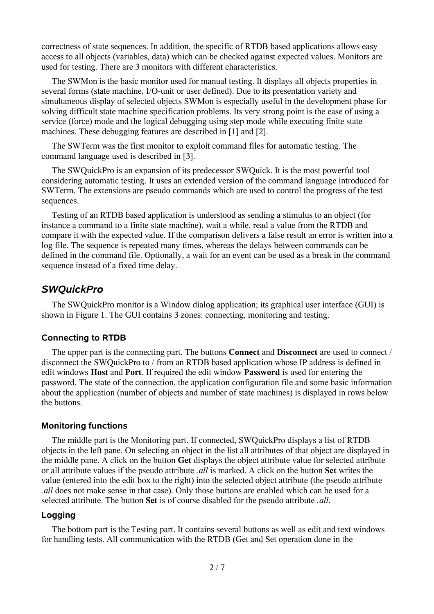correctness of state sequences. In addition, the specific of RTDB based applications allows easy access to all objects (variables, data) which can be checked against expected values. Monitors are used for testing. There are 3 monitors with different characteristics.

The SWMon is the basic monitor used for manual testing. It displays all objects properties in several forms (state machine, I/O-unit or user defined). Due to its presentation variety and simultaneous display of selected objects SWMon is especially useful in the development phase for solving difficult state machine specification problems. Its very strong point is the ease of using a service (force) mode and the logical debugging using step mode while executing finite state machines. These debugging features are described in [1] and [2].

The SWTerm was the first monitor to exploit command files for automatic testing. The command language used is described in [3].

The SWQuickPro is an expansion of its predecessor SWQuick. It is the most powerful tool considering automatic testing. It uses an extended version of the command language introduced for SWTerm. The extensions are pseudo commands which are used to control the progress of the test sequences.

Testing of an RTDB based application is understood as sending a stimulus to an object (for instance a command to a finite state machine), wait a while, read a value from the RTDB and compare it with the expected value. If the comparison delivers a false result an error is written into a log file. The sequence is repeated many times, whereas the delays between commands can be defined in the command file. Optionally, a wait for an event can be used as a break in the command sequence instead of a fixed time delay.

## *SWQuickPro*

The SWQuickPro monitor is a Window dialog application; its graphical user interface (GUI) is shown in [Figure 1.](#page-2-0) The GUI contains 3 zones: connecting, monitoring and testing.

#### **Connecting to RTDB**

The upper part is the connecting part. The buttons **Connect** and **Disconnect** are used to connect / disconnect the SWQuickPro to / from an RTDB based application whose IP address is defined in edit windows **Host** and **Port**. If required the edit window **Password** is used for entering the password. The state of the connection, the application configuration file and some basic information about the application (number of objects and number of state machines) is displayed in rows below the buttons.

#### **Monitoring functions**

The middle part is the Monitoring part. If connected, SWQuickPro displays a list of RTDB objects in the left pane. On selecting an object in the list all attributes of that object are displayed in the middle pane. A click on the button **Get** displays the object attribute value for selected attribute or all attribute values if the pseudo attribute *.all* is marked. A click on the button **Set** writes the value (entered into the edit box to the right) into the selected object attribute (the pseudo attribute *.all* does not make sense in that case). Only those buttons are enabled which can be used for a selected attribute. The button **Set** is of course disabled for the pseudo attribute *.all*.

#### **Logging**

The bottom part is the Testing part. It contains several buttons as well as edit and text windows for handling tests. All communication with the RTDB (Get and Set operation done in the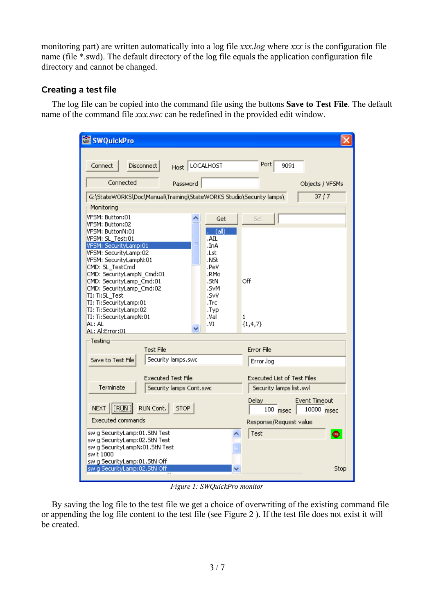monitoring part) are written automatically into a log file *xxx.log* where *xxx* is the configuration file name (file \*.swd). The default directory of the log file equals the application configuration file directory and cannot be changed.

## **Creating a test file**

The log file can be copied into the command file using the buttons **Save to Test File**. The default name of the command file *xxx.swc* can be redefined in the provided edit window.

| <b>SWQuickPro</b>                                                                                                                                                                                                                                                                                                                                                                            |                                                                                                                                |                                                                                     |
|----------------------------------------------------------------------------------------------------------------------------------------------------------------------------------------------------------------------------------------------------------------------------------------------------------------------------------------------------------------------------------------------|--------------------------------------------------------------------------------------------------------------------------------|-------------------------------------------------------------------------------------|
| Disconnect  <br>Connect<br>Connected<br>Password                                                                                                                                                                                                                                                                                                                                             | Host LOCALHOST                                                                                                                 | Port<br>9091<br>Objects / VFSMs                                                     |
| 37/7<br>G:\StateWORKS\Doc\Manual\Training\StateWORKS Studio\Security lamps\<br>Monitoring                                                                                                                                                                                                                                                                                                    |                                                                                                                                |                                                                                     |
| VFSM: Button:01<br>VFSM: Button:02<br>VFSM: ButtonN:01<br>VFSM: SL_Test:01<br>VFSM: SecurityLamp:01<br>VFSM: SecurityLamp:02<br>VFSM: SecurityLampN:01<br>CMD: SL_TestCmd<br>CMD: SecurityLampN_Cmd:01<br>CMD: SecurityLamp_Cmd:01<br>CMD: SecurityLamp_Cmd:02<br>TI: Ti:SL_Test<br>TI: Ti:SecurityLamp:01<br>TI: Ti:SecurityLamp:02<br>TI: Ti:SecurityLampN:01<br>AL: AL<br>AL: Al:Error:01 | Get<br>$\sqrt{a}$ (all)<br>.AIL<br>AnI.<br>.Lst<br>.NSt<br>.PeV<br>.RMo<br>.StN<br>.SvM<br>.SvV<br>.Trc<br>.Typ<br>.Val<br>.VI | Set<br>Off<br>1<br>${1, 4, 7}$                                                      |
| Testing<br><b>Test File</b>                                                                                                                                                                                                                                                                                                                                                                  |                                                                                                                                | <b>Error File</b>                                                                   |
| Security lamps.swc<br>Save to Test File                                                                                                                                                                                                                                                                                                                                                      |                                                                                                                                | Error.log                                                                           |
| <b>Executed Test File</b><br>Terminate<br>Security lamps Cont.swc                                                                                                                                                                                                                                                                                                                            |                                                                                                                                | <b>Executed List of Test Files</b><br>Security lamps list, swl                      |
| [RUN]<br>RUN Cont.<br><b>STOP</b><br><b>NEXT</b><br><b>Executed commands</b>                                                                                                                                                                                                                                                                                                                 |                                                                                                                                | <b>Event Timeout</b><br>Delay<br>$100$ msec<br>10000 msec<br>Response/Request value |
| sw g SecurityLamp:01.StN Test<br>swig SecurityLamp:02.StN Test<br>sw g SecurityLampN:01.StN Test<br>sw t 1000<br>sw g SecurityLamp:01.StN Off                                                                                                                                                                                                                                                |                                                                                                                                | Test<br>$\bullet$                                                                   |
| swig SecurityLamp:02.5tN Off                                                                                                                                                                                                                                                                                                                                                                 | v                                                                                                                              | Stop                                                                                |

<span id="page-2-0"></span>*Figure 1: SWQuickPro monitor*

By saving the log file to the test file we get a choice of overwriting of the existing command file or appending the log file content to the test file (see [Figure 2](#page-3-0) ). If the test file does not exist it will be created.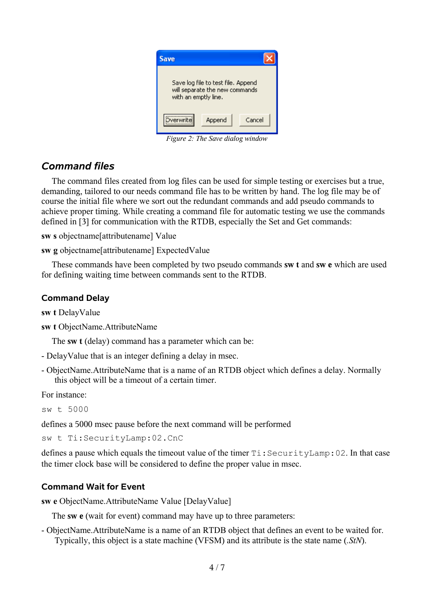<span id="page-3-0"></span>

*Figure 2: The Save dialog window*

# *Command files*

The command files created from log files can be used for simple testing or exercises but a true, demanding, tailored to our needs command file has to be written by hand. The log file may be of course the initial file where we sort out the redundant commands and add pseudo commands to achieve proper timing. While creating a command file for automatic testing we use the commands defined in [3] for communication with the RTDB, especially the Set and Get commands:

**sw s** objectname[attributename] Value

**sw g** objectname[attributename] ExpectedValue

These commands have been completed by two pseudo commands **sw t** and **sw e** which are used for defining waiting time between commands sent to the RTDB.

## **Command Delay**

**sw t** DelayValue

**sw t** ObjectName.AttributeName

The **sw t** (delay) command has a parameter which can be:

- DelayValue that is an integer defining a delay in msec.
- ObjectName.AttributeName that is a name of an RTDB object which defines a delay. Normally this object will be a timeout of a certain timer.

For instance:

sw t 5000

defines a 5000 msec pause before the next command will be performed

sw t Ti:SecurityLamp:02.CnC

defines a pause which equals the timeout value of the timer Ti:SecurityLamp:02. In that case the timer clock base will be considered to define the proper value in msec.

# **Command Wait for Event**

**sw e** ObjectName.AttributeName Value [DelayValue]

The **sw e** (wait for event) command may have up to three parameters:

- ObjectName.AttributeName is a name of an RTDB object that defines an event to be waited for. Typically, this object is a state machine (VFSM) and its attribute is the state name (*.StN*).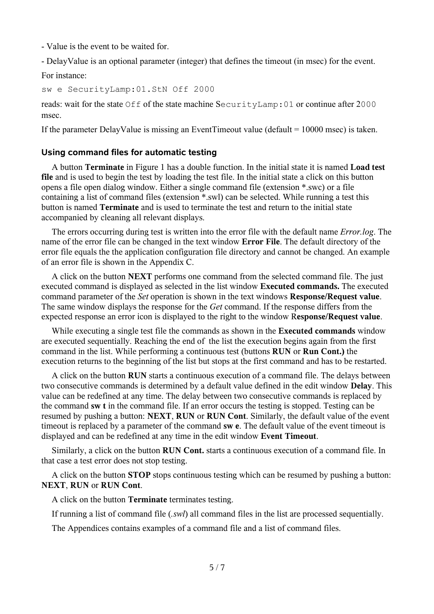- Value is the event to be waited for.

- DelayValue is an optional parameter (integer) that defines the timeout (in msec) for the event.

For instance:

```
sw e SecurityLamp:01.StN Off 2000
```
reads: wait for the state Off of the state machine SecurityLamp:01 or continue after 2000 msec.

If the parameter DelayValue is missing an EventTimeout value (default = 10000 msec) is taken.

#### **Using command files for automatic testing**

A button **Terminate** in [Figure 1](#page-2-0) has a double function. In the initial state it is named **Load test file** and is used to begin the test by loading the test file. In the initial state a click on this button opens a file open dialog window. Either a single command file (extension \*.swc) or a file containing a list of command files (extension \*.swl) can be selected. While running a test this button is named **Terminate** and is used to terminate the test and return to the initial state accompanied by cleaning all relevant displays.

The errors occurring during test is written into the error file with the default name *Error.log*. The name of the error file can be changed in the text window **Error File**. The default directory of the error file equals the the application configuration file directory and cannot be changed. An example of an error file is shown in the Appendix C.

A click on the button **NEXT** performs one command from the selected command file. The just executed command is displayed as selected in the list window **Executed commands.** The executed command parameter of the *Set* operation is shown in the text windows **Response/Request value**. The same window displays the response for the *Get* command. If the response differs from the expected response an error icon is displayed to the right to the window R**esponse/Request value**.

While executing a single test file the commands as shown in the **Executed commands** window are executed sequentially. Reaching the end of the list the execution begins again from the first command in the list. While performing a continuous test (buttons **RUN** or **Run Cont.)** the execution returns to the beginning of the list but stops at the first command and has to be restarted.

A click on the button **RUN** starts a continuous execution of a command file. The delays between two consecutive commands is determined by a default value defined in the edit window **Delay**. This value can be redefined at any time. The delay between two consecutive commands is replaced by the command **sw t** in the command file. If an error occurs the testing is stopped. Testing can be resumed by pushing a button: **NEXT**, **RUN** or **RUN Cont**. Similarly, the default value of the event timeout is replaced by a parameter of the command **sw e**. The default value of the event timeout is displayed and can be redefined at any time in the edit window **Event Timeout**.

Similarly, a click on the button **RUN Cont.** starts a continuous execution of a command file. In that case a test error does not stop testing.

A click on the button **STOP** stops continuous testing which can be resumed by pushing a button: **NEXT**, **RUN** or **RUN Cont**.

A click on the button **Terminate** terminates testing.

If running a list of command file (*.swl*) all command files in the list are processed sequentially.

The Appendices contains examples of a command file and a list of command files.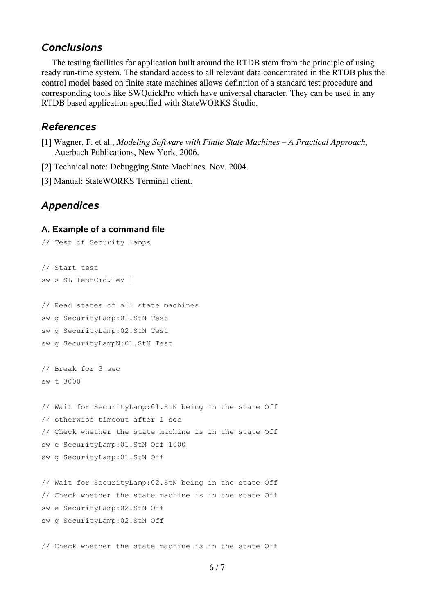#### *Conclusions*

The testing facilities for application built around the RTDB stem from the principle of using ready run-time system. The standard access to all relevant data concentrated in the RTDB plus the control model based on finite state machines allows definition of a standard test procedure and corresponding tools like SWQuickPro which have universal character. They can be used in any RTDB based application specified with StateWORKS Studio.

### *References*

- [1] Wagner, F. et al., *Modeling Software with Finite State Machines A Practical Approach*, Auerbach Publications, New York, 2006.
- [2] Technical note: Debugging State Machines. Nov. 2004.
- [3] Manual: StateWORKS Terminal client.

## *Appendices*

#### **A. Example of a command file**

```
// Test of Security lamps
// Start test
sw s SL_TestCmd.PeV 1
// Read states of all state machines
sw g SecurityLamp:01.StN Test
sw g SecurityLamp:02.StN Test
sw g SecurityLampN:01.StN Test
// Break for 3 sec
sw t 3000
// Wait for SecurityLamp:01.StN being in the state Off
// otherwise timeout after 1 sec
// Check whether the state machine is in the state Off
sw e SecurityLamp:01.StN Off 1000
sw g SecurityLamp:01.StN Off
// Wait for SecurityLamp:02.StN being in the state Off
// Check whether the state machine is in the state Off
sw e SecurityLamp:02.StN Off
sw g SecurityLamp:02.StN Off
```
// Check whether the state machine is in the state Off